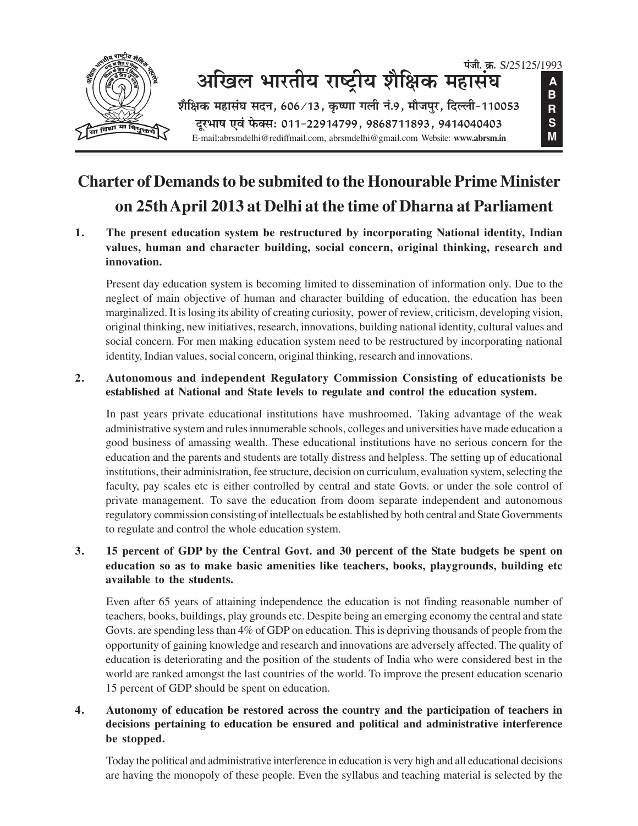

# **Charter of Demands to be submited to the Honourable Prime Minister** on 25th April 2013 at Delhi at the time of Dharna at Parliament

1. The present education system be restructured by incorporating National identity, Indian values, human and character building, social concern, original thinking, research and innovation.

Present day education system is becoming limited to dissemination of information only. Due to the neglect of main objective of human and character building of education, the education has been marginalized. It is losing its ability of creating curiosity, power of review, criticism, developing vision, original thinking, new initiatives, research, innovations, building national identity, cultural values and social concern. For men making education system need to be restructured by incorporating national identity, Indian values, social concern, original thinking, research and innovations.

#### Autonomous and independent Regulatory Commission Consisting of educationists be  $2.$ established at National and State levels to regulate and control the education system.

In past years private educational institutions have mushroomed. Taking advantage of the weak administrative system and rules innumerable schools, colleges and universities have made education a good business of amassing wealth. These educational institutions have no serious concern for the education and the parents and students are totally distress and helpless. The setting up of educational institutions, their administration, fee structure, decision on curriculum, evaluation system, selecting the faculty, pay scales etc is either controlled by central and state Govts. or under the sole control of private management. To save the education from doom separate independent and autonomous regulatory commission consisting of intellectuals be established by both central and State Governments to regulate and control the whole education system.

#### $3<sub>1</sub>$ 15 percent of GDP by the Central Govt. and 30 percent of the State budgets be spent on education so as to make basic amenities like teachers, books, playgrounds, building etc available to the students.

Even after 65 years of attaining independence the education is not finding reasonable number of teachers, books, buildings, play grounds etc. Despite being an emerging economy the central and state Govts. are spending less than 4% of GDP on education. This is depriving thousands of people from the opportunity of gaining knowledge and research and innovations are adversely affected. The quality of education is deteriorating and the position of the students of India who were considered best in the world are ranked amongst the last countries of the world. To improve the present education scenario 15 percent of GDP should be spent on education.

#### 4. Autonomy of education be restored across the country and the participation of teachers in decisions pertaining to education be ensured and political and administrative interference be stopped.

Today the political and administrative interference in education is very high and all educational decisions are having the monopoly of these people. Even the syllabus and teaching material is selected by the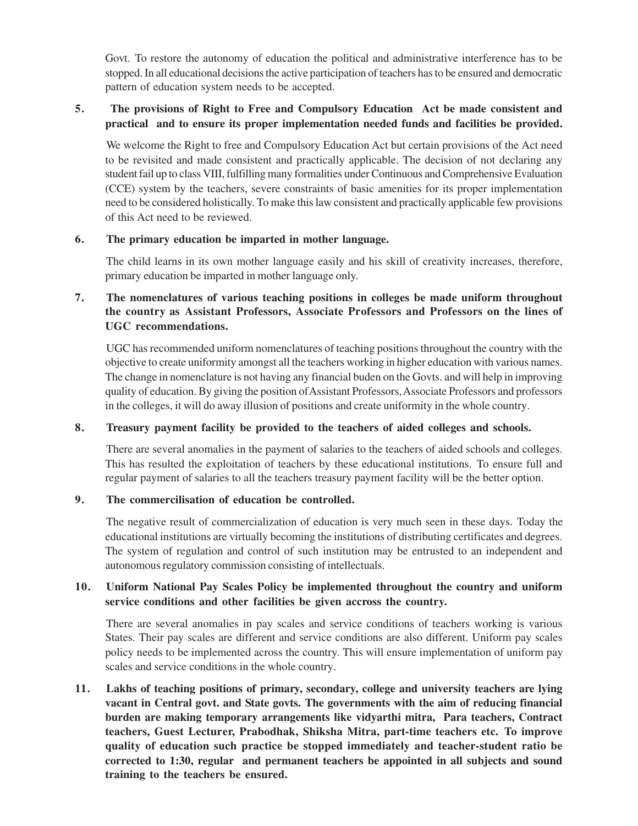Govt. To restore the autonomy of education the political and administrative interference has to be stopped. In all educational decisions the active participation of teachers has to be ensured and democratic pattern of education system needs to be accepted.

### **5. The provisions of Right to Free and Compulsory Education Act be made consistent and practical and to ensure its proper implementation needed funds and facilities be provided.**

We welcome the Right to free and Compulsory Education Act but certain provisions of the Act need to be revisited and made consistent and practically applicable. The decision of not declaring any student fail up to class VIII, fulfilling many formalities under Continuous and Comprehensive Evaluation (CCE) system by the teachers, severe constraints of basic amenities for its proper implementation need to be considered holistically. To make this law consistent and practically applicable few provisions of this Act need to be reviewed.

#### **6. The primary education be imparted in mother language.**

The child learns in its own mother language easily and his skill of creativity increases, therefore, primary education be imparted in mother language only.

## **7. The nomenclatures of various teaching positions in colleges be made uniform throughout the country as Assistant Professors, Associate Professors and Professors on the lines of UGC recommendations.**

UGC has recommended uniform nomenclatures of teaching positions throughout the country with the objective to create uniformity amongst all the teachers working in higher education with various names. The change in nomenclature is not having any financial buden on the Govts. and will help in improving quality of education. By giving the position of Assistant Professors, Associate Professors and professors in the colleges, it will do away illusion of positions and create uniformity in the whole country.

### **8. Treasury payment facility be provided to the teachers of aided colleges and schools.**

There are several anomalies in the payment of salaries to the teachers of aided schools and colleges. This has resulted the exploitation of teachers by these educational institutions. To ensure full and regular payment of salaries to all the teachers treasury payment facility will be the better option.

### **9. The commercilisation of education be controlled.**

The negative result of commercialization of education is very much seen in these days. Today the educational institutions are virtually becoming the institutions of distributing certificates and degrees. The system of regulation and control of such institution may be entrusted to an independent and autonomous regulatory commission consisting of intellectuals.

### **10. Uniform National Pay Scales Policy be implemented throughout the country and uniform service conditions and other facilities be given accross the country.**

There are several anomalies in pay scales and service conditions of teachers working is various States. Their pay scales are different and service conditions are also different. Uniform pay scales policy needs to be implemented across the country. This will ensure implementation of uniform pay scales and service conditions in the whole country.

**11. Lakhs of teaching positions of primary, secondary, college and university teachers are lying vacant in Central govt. and State govts. The governments with the aim of reducing financial burden are making temporary arrangements like vidyarthi mitra, Para teachers, Contract teachers, Guest Lecturer, Prabodhak, Shiksha Mitra, part-time teachers etc. To improve quality of education such practice be stopped immediately and teacher-student ratio be corrected to 1:30, regular and permanent teachers be appointed in all subjects and sound training to the teachers be ensured.**